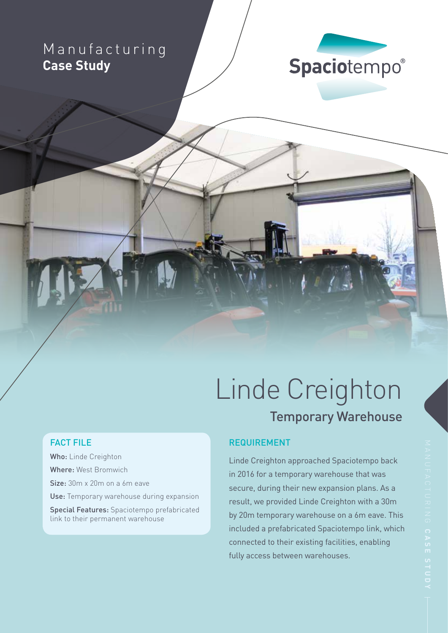## Manufacturing **Case Study**



# Linde Creighton Temporary Warehouse

### FACT FILE

Who: Linde Creighton Where: West Bromwich Size: 30m x 20m on a 6m eave Use: Temporary warehouse during expansion Special Features: Spaciotempo prefabricated link to their permanent warehouse

### REQUIREMENT

Linde Creighton approached Spaciotempo back in 2016 for a temporary warehouse that was secure, during their new expansion plans. As a result, we provided Linde Creighton with a 30m by 20m temporary warehouse on a 6m eave. This included a prefabricated Spaciotempo link, which connected to their existing facilities, enabling fully access between warehouses.